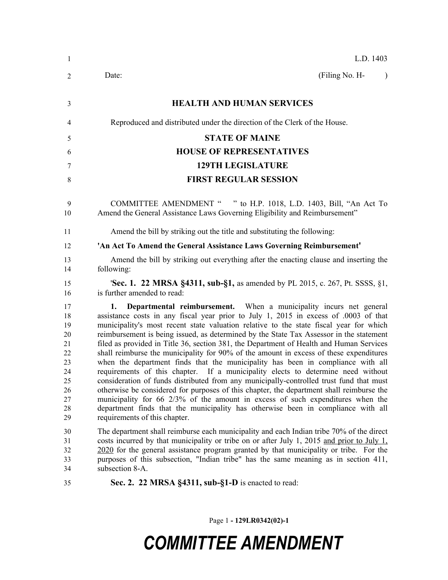| $\mathbf{1}$                                                               | L.D. 1403                                                                                                                                                                                                                                                                                                                                                                                                                                                                                                                                                                                                                                                                                                                                                                                                                                                                                                                                                                                                                                                                                                       |  |  |  |  |
|----------------------------------------------------------------------------|-----------------------------------------------------------------------------------------------------------------------------------------------------------------------------------------------------------------------------------------------------------------------------------------------------------------------------------------------------------------------------------------------------------------------------------------------------------------------------------------------------------------------------------------------------------------------------------------------------------------------------------------------------------------------------------------------------------------------------------------------------------------------------------------------------------------------------------------------------------------------------------------------------------------------------------------------------------------------------------------------------------------------------------------------------------------------------------------------------------------|--|--|--|--|
| 2                                                                          | (Filing No. H-<br>Date:<br>$\lambda$                                                                                                                                                                                                                                                                                                                                                                                                                                                                                                                                                                                                                                                                                                                                                                                                                                                                                                                                                                                                                                                                            |  |  |  |  |
| 3                                                                          | <b>HEALTH AND HUMAN SERVICES</b>                                                                                                                                                                                                                                                                                                                                                                                                                                                                                                                                                                                                                                                                                                                                                                                                                                                                                                                                                                                                                                                                                |  |  |  |  |
| 4                                                                          | Reproduced and distributed under the direction of the Clerk of the House.                                                                                                                                                                                                                                                                                                                                                                                                                                                                                                                                                                                                                                                                                                                                                                                                                                                                                                                                                                                                                                       |  |  |  |  |
| 5                                                                          | <b>STATE OF MAINE</b>                                                                                                                                                                                                                                                                                                                                                                                                                                                                                                                                                                                                                                                                                                                                                                                                                                                                                                                                                                                                                                                                                           |  |  |  |  |
| 6                                                                          | <b>HOUSE OF REPRESENTATIVES</b>                                                                                                                                                                                                                                                                                                                                                                                                                                                                                                                                                                                                                                                                                                                                                                                                                                                                                                                                                                                                                                                                                 |  |  |  |  |
| 7                                                                          | <b>129TH LEGISLATURE</b>                                                                                                                                                                                                                                                                                                                                                                                                                                                                                                                                                                                                                                                                                                                                                                                                                                                                                                                                                                                                                                                                                        |  |  |  |  |
| 8                                                                          | <b>FIRST REGULAR SESSION</b>                                                                                                                                                                                                                                                                                                                                                                                                                                                                                                                                                                                                                                                                                                                                                                                                                                                                                                                                                                                                                                                                                    |  |  |  |  |
| 9<br>10                                                                    | COMMITTEE AMENDMENT " " to H.P. 1018, L.D. 1403, Bill, "An Act To<br>Amend the General Assistance Laws Governing Eligibility and Reimbursement"                                                                                                                                                                                                                                                                                                                                                                                                                                                                                                                                                                                                                                                                                                                                                                                                                                                                                                                                                                 |  |  |  |  |
| 11                                                                         | Amend the bill by striking out the title and substituting the following:                                                                                                                                                                                                                                                                                                                                                                                                                                                                                                                                                                                                                                                                                                                                                                                                                                                                                                                                                                                                                                        |  |  |  |  |
| 12                                                                         | 'An Act To Amend the General Assistance Laws Governing Reimbursement'                                                                                                                                                                                                                                                                                                                                                                                                                                                                                                                                                                                                                                                                                                                                                                                                                                                                                                                                                                                                                                           |  |  |  |  |
| 13<br>14                                                                   | Amend the bill by striking out everything after the enacting clause and inserting the<br>following:                                                                                                                                                                                                                                                                                                                                                                                                                                                                                                                                                                                                                                                                                                                                                                                                                                                                                                                                                                                                             |  |  |  |  |
| 15<br>16                                                                   | <b>'Sec. 1. 22 MRSA §4311, sub-§1,</b> as amended by PL 2015, c. 267, Pt. SSSS, §1,<br>is further amended to read:                                                                                                                                                                                                                                                                                                                                                                                                                                                                                                                                                                                                                                                                                                                                                                                                                                                                                                                                                                                              |  |  |  |  |
| 17<br>18<br>19<br>20<br>21<br>22<br>23<br>24<br>25<br>26<br>27<br>28<br>29 | Departmental reimbursement. When a municipality incurs net general<br>1.<br>assistance costs in any fiscal year prior to July 1, 2015 in excess of .0003 of that<br>municipality's most recent state valuation relative to the state fiscal year for which<br>reimbursement is being issued, as determined by the State Tax Assessor in the statement<br>filed as provided in Title 36, section 381, the Department of Health and Human Services<br>shall reimburse the municipality for 90% of the amount in excess of these expenditures<br>when the department finds that the municipality has been in compliance with all<br>requirements of this chapter. If a municipality elects to determine need without<br>consideration of funds distributed from any municipally-controlled trust fund that must<br>otherwise be considered for purposes of this chapter, the department shall reimburse the<br>municipality for 66 2/3% of the amount in excess of such expenditures when the<br>department finds that the municipality has otherwise been in compliance with all<br>requirements of this chapter. |  |  |  |  |
| 30<br>31<br>32<br>33<br>34                                                 | The department shall reimburse each municipality and each Indian tribe 70% of the direct<br>costs incurred by that municipality or tribe on or after July 1, 2015 and prior to July 1,<br>2020 for the general assistance program granted by that municipality or tribe. For the<br>purposes of this subsection, "Indian tribe" has the same meaning as in section 411,<br>subsection 8-A.                                                                                                                                                                                                                                                                                                                                                                                                                                                                                                                                                                                                                                                                                                                      |  |  |  |  |
| 35                                                                         | Sec. 2. 22 MRSA §4311, sub-§1-D is enacted to read:                                                                                                                                                                                                                                                                                                                                                                                                                                                                                                                                                                                                                                                                                                                                                                                                                                                                                                                                                                                                                                                             |  |  |  |  |
|                                                                            |                                                                                                                                                                                                                                                                                                                                                                                                                                                                                                                                                                                                                                                                                                                                                                                                                                                                                                                                                                                                                                                                                                                 |  |  |  |  |

Page 1 **- 129LR0342(02)-1**

# *COMMITTEE AMENDMENT*